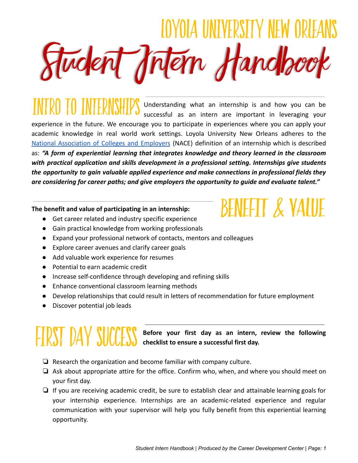IOYOIA UNIVERSITY NEW Student Intern Handbook

Understanding what an internship is and how you can be successful as an intern are important in leveraging your experience in the future. We encourage you to participate in experiences where you can apply your academic knowledge in real world work settings. Loyola University New Orleans adheres to the National [Association](https://www.naceweb.org/) of Colleges and Employers (NACE) definition of an internship which is described as: *"A form of experiential learning that integrates knowledge and theory learned in the classroom with practical application and skills development in a professional setting. Internships give students the opportunity to gain valuable applied experience and make connections in professional fields they are considering for career paths; and give employers the opportunity to guide and evaluate talent."*

#### **The benefit and value of participating in an internship:**

- Get career related and industry specific experience
- Gain practical knowledge from working professionals
- Expand your professional network of contacts, mentors and colleagues
- Explore career avenues and clarify career goals
- Add valuable work experience for resumes
- Potential to earn academic credit
- Increase self-confidence through developing and refining skills
- Enhance conventional classroom learning methods
- Develop relationships that could result in letters of recommendation for future employment
- Discover potential job leads

# **FIRST DAY SUCCES**

**Before your first day as an intern, review the following checklist to ensure a successful first day.**

- ❏ Research the organization and become familiar with company culture.
- ❏ Ask about appropriate attire for the office. Confirm who, when, and where you should meet on your first day.
- ❏ If you are receiving academic credit, be sure to establish clear and attainable learning goals for your internship experience. Internships are an academic-related experience and regular communication with your supervisor will help you fully benefit from this experiential learning opportunity.

# BENEFIT & VALUE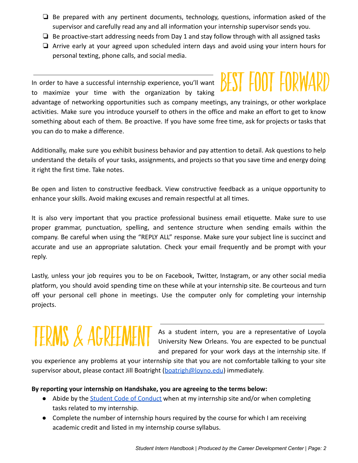- ❏ Be prepared with any pertinent documents, technology, questions, information asked of the supervisor and carefully read any and all information your internship supervisor sends you.
- $\Box$  Be proactive-start addressing needs from Day 1 and stay follow through with all assigned tasks
- ❏ Arrive early at your agreed upon scheduled intern days and avoid using your intern hours for personal texting, phone calls, and social media.

In order to have a successful internship experience, you'll want to maximize your time with the organization by taking

# BESI FOOI FORWA

advantage of networking opportunities such as company meetings, any trainings, or other workplace activities. Make sure you introduce yourself to others in the office and make an effort to get to know something about each of them. Be proactive. If you have some free time, ask for projects or tasks that you can do to make a difference.

Additionally, make sure you exhibit business behavior and pay attention to detail. Ask questions to help understand the details of your tasks, assignments, and projects so that you save time and energy doing it right the first time. Take notes.

Be open and listen to constructive feedback. View constructive feedback as a unique opportunity to enhance your skills. Avoid making excuses and remain respectful at all times.

It is also very important that you practice professional business email etiquette. Make sure to use proper grammar, punctuation, spelling, and sentence structure when sending emails within the company. Be careful when using the "REPLY ALL" response. Make sure your subject line is succinct and accurate and use an appropriate salutation. Check your email frequently and be prompt with your reply.

Lastly, unless your job requires you to be on Facebook, Twitter, Instagram, or any other social media platform, you should avoid spending time on these while at your internship site. Be courteous and turn off your personal cell phone in meetings. Use the computer only for completing your internship projects.

# **TERMS & AGREEME**

As a student intern, you are a representative of Loyola University New Orleans. You are expected to be punctual and prepared for your work days at the internship site. If

you experience any problems at your internship site that you are not comfortable talking to your site supervisor about, please contact Jill Boatright ([boatrigh@loyno.edu](mailto:boatrigh@loyno.edu)) immediately.

#### **By reporting your internship on Handshake, you are agreeing to the terms below:**

- Abide by the [Student Code of Conduct](http://studentaffairs.loyno.edu/sites/studentaffairs.loyno.edu/files/Student%20Code%20of%20Conduct%20FINAL.pdf) when at my internship site and/or when completing tasks related to my internship.
- Complete the number of internship hours required by the course for which I am receiving academic credit and listed in my internship course syllabus.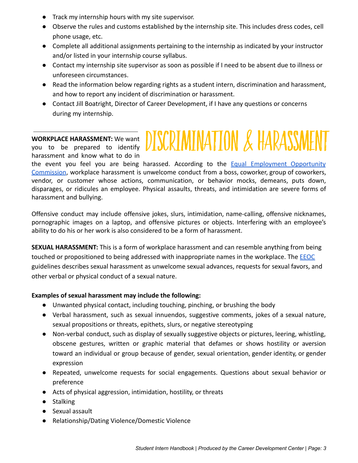- Track my internship hours with my site supervisor.
- Observe the rules and customs established by the internship site. This includes dress codes, cell phone usage, etc.
- Complete all additional assignments pertaining to the internship as indicated by your instructor and/or listed in your internship course syllabus.
- Contact my internship site supervisor as soon as possible if I need to be absent due to illness or unforeseen circumstances.
- Read the information below regarding rights as a student intern, discrimination and harassment, and how to report any incident of discrimination or harassment.

**ISCRIMINATION & HARASSI** 

● Contact Jill Boatright, Director of Career Development, if I have any questions or concerns during my internship.

#### **WORKPLACE HARASSMENT:** We want

you to be prepared to identify harassment and know what to do in

the event you feel you are being harassed. According to the **Equal [Employment](https://www.eeoc.gov/laws/types/harassment.cfm) Opportunity** [Commission](https://www.eeoc.gov/laws/types/harassment.cfm), workplace harassment is unwelcome conduct from a boss, coworker, group of coworkers, vendor, or customer whose actions, communication, or behavior mocks, demeans, puts down, disparages, or ridicules an employee. Physical assaults, threats, and intimidation are severe forms of harassment and bullying.

Offensive conduct may include offensive jokes, slurs, intimidation, name-calling, offensive nicknames, pornographic images on a laptop, and offensive pictures or objects. Interfering with an employee's ability to do his or her work is also considered to be a form of harassment.

**SEXUAL HARASSMENT:** This is a form of workplace harassment and can resemble anything from being touched or propositioned to being addressed with inappropriate names in the workplace. The **[EEOC](https://www.eeoc.gov/laws/types/sexual_harassment.cfm)** guidelines describes sexual harassment as unwelcome sexual advances, requests for sexual favors, and other verbal or physical conduct of a sexual nature.

#### **Examples of sexual harassment may include the following:**

- Unwanted physical contact, including touching, pinching, or brushing the body
- Verbal harassment, such as sexual innuendos, suggestive comments, jokes of a sexual nature, sexual propositions or threats, epithets, slurs, or negative stereotyping
- Non-verbal conduct, such as display of sexually suggestive objects or pictures, leering, whistling, obscene gestures, written or graphic material that defames or shows hostility or aversion toward an individual or group because of gender, sexual orientation, gender identity, or gender expression
- Repeated, unwelcome requests for social engagements. Questions about sexual behavior or preference
- Acts of physical aggression, intimidation, hostility, or threats
- Stalking
- Sexual assault
- Relationship/Dating Violence/Domestic Violence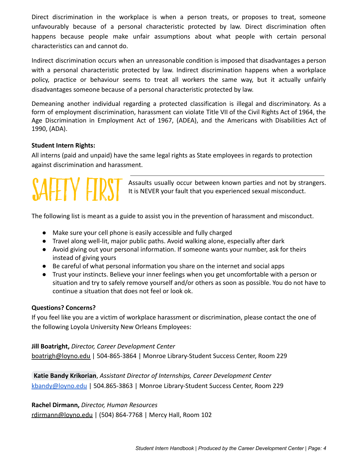Direct discrimination in the workplace is when a person treats, or proposes to treat, someone unfavourably because of a personal characteristic protected by law. Direct discrimination often happens because people make unfair assumptions about what people with certain personal characteristics can and cannot do.

Indirect discrimination occurs when an unreasonable condition is imposed that disadvantages a person with a personal characteristic protected by law. Indirect discrimination happens when a workplace policy, practice or behaviour seems to treat all workers the same way, but it actually unfairly disadvantages someone because of a personal characteristic protected by law.

Demeaning another individual regarding a protected classification is illegal and discriminatory. As a form of employment discrimination, harassment can violate Title VII of the Civil Rights Act of 1964, the Age Discrimination in Employment Act of 1967, (ADEA), and the Americans with Disabilities Act of 1990, (ADA).

#### **Student Intern Rights:**

All interns (paid and unpaid) have the same legal rights as State employees in regards to protection against discrimination and harassment.

Assaults usually occur between known parties and not by strangers. It is NEVER your fault that you experienced sexual misconduct.

The following list is meant as a guide to assist you in the prevention of harassment and misconduct.

- Make sure your cell phone is easily accessible and fully charged
- Travel along well-lit, major public paths. Avoid walking alone, especially after dark
- Avoid giving out your personal information. If someone wants your number, ask for theirs instead of giving yours
- Be careful of what personal information you share on the internet and social apps
- Trust your instincts. Believe your inner feelings when you get uncomfortable with a person or situation and try to safely remove yourself and/or others as soon as possible. You do not have to continue a situation that does not feel or look ok.

#### **Questions? Concerns?**

If you feel like you are a victim of workplace harassment or discrimination, please contact the one of the following Loyola University New Orleans Employees:

#### **Jill Boatright,** *Director, Career Development Center*

[boatrigh@loyno.edu](mailto:jboatrigh@loyno.edu) | 504-865-3864 | Monroe Library-Student Success Center, Room 229

**[Katie Bandy Krikorian](mailto:kbandy@loyno.edu)**, *Assistant Director of Internships, Career Development Center* [kbandy@loyno.edu](mailto:kbandy@loyno.edu) | 504.865-3863 | Monroe Library-Student Success Center, Room 229

**Rachel Dirmann,** *Director, Human Resources* [rdirmann@loyno.edu](mailto:rdirmann@loyno.edu) | (504) 864-7768 | Mercy Hall, Room 102